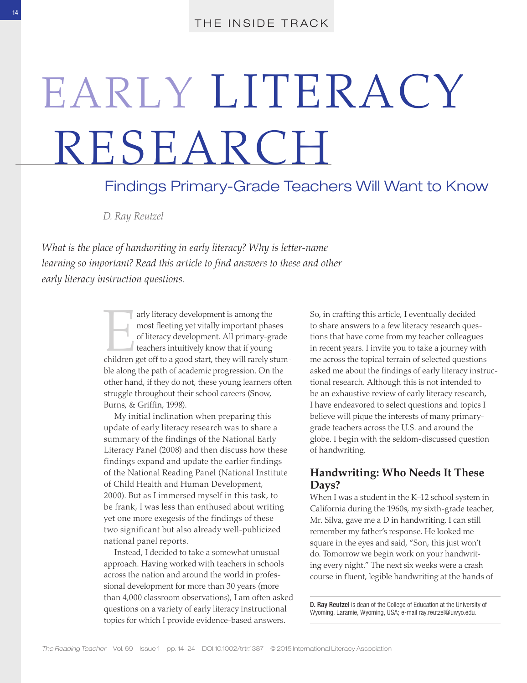# EARLY LITERACY RESEARCH

# Findings Primary- Grade Teachers Will Want to Know

 *D. Ray Reutzel* 

 *What is the place of handwriting in early literacy? Why is letter- name learning so important? Read this article to find answers to these and other early literacy instruction questions.* 

> arly literacy development is among the<br>
> most fleeting yet vitally important phases<br>
> of literacy development. All primary-grade<br>
> teachers intuitively know that if young<br>
> children get off to a good start, they will rarely st most fleeting yet vitally important phases of literacy development. All primary- grade teachers intuitively know that if young ble along the path of academic progression. On the other hand, if they do not, these young learners often struggle throughout their school careers (Snow, Burns, & Griffin, 1998).

 My initial inclination when preparing this update of early literacy research was to share a summary of the findings of the National Early Literacy Panel (2008) and then discuss how these findings expand and update the earlier findings of the National Reading Panel (National Institute of Child Health and Human Development, 2000). But as I immersed myself in this task, to be frank, I was less than enthused about writing yet one more exegesis of the findings of these two significant but also already well-publicized national panel reports.

 Instead, I decided to take a somewhat unusual approach. Having worked with teachers in schools across the nation and around the world in professional development for more than 30 years (more than 4,000 classroom observations), I am often asked questions on a variety of early literacy instructional topics for which I provide evidence-based answers.

So, in crafting this article, I eventually decided to share answers to a few literacy research questions that have come from my teacher colleagues in recent years. I invite you to take a journey with me across the topical terrain of selected questions asked me about the findings of early literacy instructional research. Although this is not intended to be an exhaustive review of early literacy research, I have endeavored to select questions and topics I believe will pique the interests of many primarygrade teachers across the U.S. and around the globe. I begin with the seldom- discussed question of handwriting.

## **Handwriting: Who Needs It These Days?**

 When I was a student in the K–12 school system in California during the 1960s, my sixth-grade teacher, Mr. Silva, gave me a D in handwriting. I can still remember my father's response. He looked me square in the eyes and said, "Son, this just won't do. Tomorrow we begin work on your handwriting every night." The next six weeks were a crash course in fluent, legible handwriting at the hands of

 D. Ray Reutzel is dean of the College of Education at the University of Wyoming, Laramie, Wyoming, USA; e- mail ray.reutzel@uwyo.edu .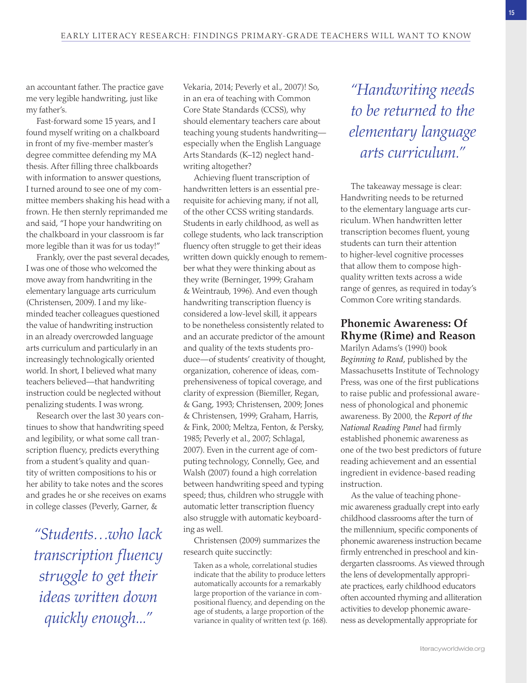an accountant father. The practice gave me very legible handwriting, just like my father's.

Fast-forward some 15 years, and I found myself writing on a chalkboard in front of my five-member master's degree committee defending my MA thesis. After filling three chalkboards with information to answer questions, I turned around to see one of my committee members shaking his head with a frown. He then sternly reprimanded me and said, "I hope your handwriting on the chalkboard in your classroom is far more legible than it was for us today!"

 Frankly, over the past several decades, I was one of those who welcomed the move away from handwriting in the elementary language arts curriculum (Christensen, 2009). I and my likeminded teacher colleagues questioned the value of handwriting instruction in an already overcrowded language arts curriculum and particularly in an increasingly technologically oriented world. In short, I believed what many teachers believed—that handwriting instruction could be neglected without penalizing students. I was wrong.

 Research over the last 30 years continues to show that handwriting speed and legibility, or what some call transcription fluency, predicts everything from a student's quality and quantity of written compositions to his or her ability to take notes and the scores and grades he or she receives on exams in college classes (Peverly, Garner, &

 *"Students…who lack transcription fluency struggle to get their ideas written down quickly enough..."* 

Vekaria, 2014; Peverly et al., 2007)! So, in an era of teaching with Common Core State Standards (CCSS), why should elementary teachers care about teaching young students handwriting especially when the English Language Arts Standards (K–12) neglect handwriting altogether?

 Achieving fluent transcription of handwritten letters is an essential prerequisite for achieving many, if not all, of the other CCSS writing standards. Students in early childhood, as well as college students, who lack transcription fluency often struggle to get their ideas written down quickly enough to remember what they were thinking about as they write (Berninger, 1999; Graham & Weintraub, 1996). And even though handwriting transcription fluency is considered a low- level skill, it appears to be nonetheless consistently related to and an accurate predictor of the amount and quality of the texts students produce—of students' creativity of thought, organization, coherence of ideas, comprehensiveness of topical coverage, and clarity of expression (Biemiller, Regan, & Gang, 1993; Christensen, 2009; Jones & Christensen, 1999; Graham, Harris, & Fink, 2000; Meltza, Fenton, & Persky, 1985; Peverly et al., 2007; Schlagal, 2007). Even in the current age of computing technology, Connelly, Gee, and Walsh (2007) found a high correlation between handwriting speed and typing speed; thus, children who struggle with automatic letter transcription fluency also struggle with automatic keyboarding as well.

Christensen (2009) summarizes the research quite succinctly:

 Taken as a whole, correlational studies indicate that the ability to produce letters automatically accounts for a remarkably large proportion of the variance in compositional fluency, and depending on the age of students, a large proportion of the variance in quality of written text (p. 168).

 *"Handwriting needs to be returned to the elementary language arts curriculum."* 

 The takeaway message is clear: Handwriting needs to be returned to the elementary language arts curriculum. When handwritten letter transcription becomes fluent, young students can turn their attention to higher-level cognitive processes that allow them to compose highquality written texts across a wide range of genres, as required in today's Common Core writing standards.

# **Phonemic Awareness: Of Rhyme (Rime) and Reason**

Marilyn Adams's (1990) book *Beginning to Read* , published by the Massachusetts Institute of Technology Press, was one of the first publications to raise public and professional awareness of phonological and phonemic awareness. By 2000, the *Report of the National Reading Panel* had firmly established phonemic awareness as one of the two best predictors of future reading achievement and an essential ingredient in evidence-based reading instruction.

 As the value of teaching phonemic awareness gradually crept into early childhood classrooms after the turn of the millennium, specific components of phonemic awareness instruction became firmly entrenched in preschool and kindergarten classrooms. As viewed through the lens of developmentally appropriate practices, early childhood educators often accounted rhyming and alliteration activities to develop phonemic awareness as developmentally appropriate for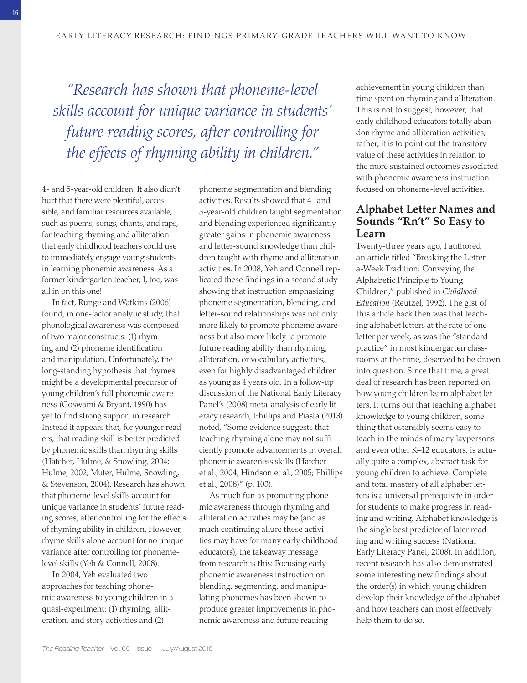*"Research has shown that phoneme-level skills account for unique variance in students' future reading scores, after controlling for the effects of rhyming ability in children."* 

4- and 5-year-old children. It also didn't hurt that there were plentiful, accessible, and familiar resources available, such as poems, songs, chants, and raps, for teaching rhyming and alliteration that early childhood teachers could use to immediately engage young students in learning phonemic awareness. As a former kindergarten teacher, I, too, was all in on this one!

In fact, Runge and Watkins (2006) found, in one-factor analytic study, that phonological awareness was composed of two major constructs: (1) rhyming and (2) phoneme identification and manipulation. Unfortunately, the long-standing hypothesis that rhymes might be a developmental precursor of young children's full phonemic awareness (Goswami & Bryant, 1990) has yet to find strong support in research. Instead it appears that, for younger readers, that reading skill is better predicted by phonemic skills than rhyming skills (Hatcher, Hulme, & Snowling, 2004; Hulme, 2002; Muter, Hulme, Snowling, & Stevenson, 2004). Research has shown that phoneme- level skills account for unique variance in students' future reading scores, after controlling for the effects of rhyming ability in children. However, rhyme skills alone account for no unique variance after controlling for phonemelevel skills (Yeh & Connell, 2008).

 In 2004, Yeh evaluated two approaches for teaching phonemic awareness to young children in a quasi- experiment: (1) rhyming, alliteration, and story activities and (2)

phoneme segmentation and blending activities. Results showed that 4- and 5- year- old children taught segmentation and blending experienced significantly greater gains in phonemic awareness and letter-sound knowledge than children taught with rhyme and alliteration activities. In 2008, Yeh and Connell replicated these findings in a second study showing that instruction emphasizing phoneme segmentation, blending, and letter- sound relationships was not only more likely to promote phoneme awareness but also more likely to promote future reading ability than rhyming, alliteration, or vocabulary activities, even for highly disadvantaged children as young as 4 years old. In a follow- up discussion of the National Early Literacy Panel's (2008) meta-analysis of early literacy research, Phillips and Piasta (2013) noted, "Some evidence suggests that teaching rhyming alone may not sufficiently promote advancements in overall phonemic awareness skills (Hatcher et al., 2004; Hindson et al., 2005; Phillips et al.,  $2008$ <sup>"</sup> (p. 103).

 As much fun as promoting phonemic awareness through rhyming and alliteration activities may be (and as much continuing allure these activities may have for many early childhood educators), the takeaway message from research is this: Focusing early phonemic awareness instruction on blending, segmenting, and manipulating phonemes has been shown to produce greater improvements in phonemic awareness and future reading

achievement in young children than time spent on rhyming and alliteration. This is not to suggest, however, that early childhood educators totally abandon rhyme and alliteration activities; rather, it is to point out the transitory value of these activities in relation to the more sustained outcomes associated with phonemic awareness instruction focused on phoneme-level activities.

# **Alphabet Letter Names and Sounds "Rn't" So Easy to Learn**

Twenty-three years ago, I authored an article titled "Breaking the Lettera- Week Tradition: Conveying the Alphabetic Principle to Young Children," published in *Childhood Education* (Reutzel, 1992). The gist of this article back then was that teaching alphabet letters at the rate of one letter per week, as was the "standard practice" in most kindergarten classrooms at the time, deserved to be drawn into question. Since that time, a great deal of research has been reported on how young children learn alphabet letters. It turns out that teaching alphabet knowledge to young children, something that ostensibly seems easy to teach in the minds of many laypersons and even other K–12 educators, is actually quite a complex, abstract task for young children to achieve. Complete and total mastery of all alphabet letters is a universal prerequisite in order for students to make progress in reading and writing. Alphabet knowledge is the single best predictor of later reading and writing success (National Early Literacy Panel, 2008). In addition, recent research has also demonstrated some interesting new findings about the order(s) in which young children develop their knowledge of the alphabet and how teachers can most effectively help them to do so.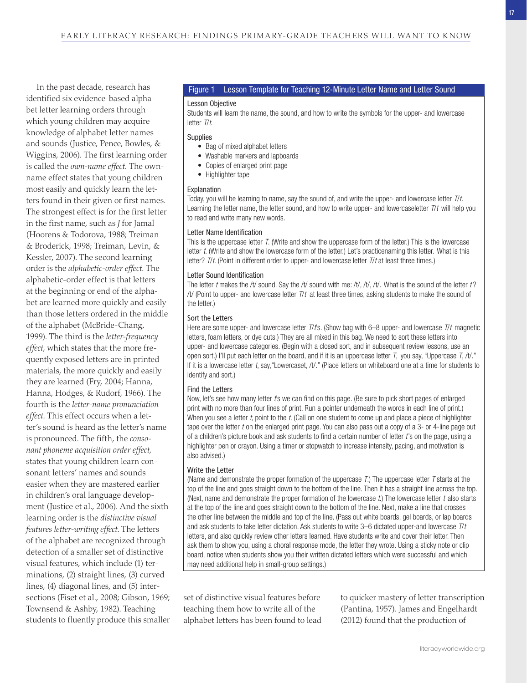In the past decade, research has identified six evidence-based alphabet letter learning orders through which young children may acquire knowledge of alphabet letter names and sounds (Justice, Pence, Bowles, & Wiggins, 2006). The first learning order is called the *own-name effect.* The ownname effect states that young children most easily and quickly learn the letters found in their given or first names. The strongest effect is for the first letter in the first name, such as *J* for Jamal (Hoorens & Todorova, 1988; Treiman & Broderick, 1998; Treiman, Levin, & Kessler, 2007). The second learning order is the *alphabetic-order effect*. The alphabetic- order effect is that letters at the beginning or end of the alphabet are learned more quickly and easily than those letters ordered in the middle of the alphabet (McBride- Chang, 1999). The third is the *letter-frequency effect*, which states that the more frequently exposed letters are in printed materials, the more quickly and easily they are learned (Fry, 2004; Hanna, Hanna, Hodges, & Rudorf, 1966). The fourth is the *letter-name pronunciation effect*. This effect occurs when a letter's sound is heard as the letter's name is pronounced. The fifth, the *consonant phoneme acquisition order effect*, states that young children learn consonant letters' names and sounds easier when they are mastered earlier in children's oral language development (Justice et al., 2006). And the sixth learning order is the *distinctive visual features letter-writing effect*. The letters of the alphabet are recognized through detection of a smaller set of distinctive visual features, which include (1) terminations, (2) straight lines, (3) curved lines, (4) diagonal lines, and (5) intersections (Fiset et al., 2008; Gibson, 1969; Townsend & Ashby, 1982). Teaching students to fluently produce this smaller

### Figure 1 Lesson Template for Teaching 12- Minute Letter Name and Letter Sound

### Lesson Objective

Students will learn the name, the sound, and how to write the symbols for the upper- and lowercase letter T/t.

### **Supplies**

- Bag of mixed alphabet letters
- Washable markers and lapboards
- Copies of enlarged print page
- Highlighter tape

### Explanation

Today, you will be learning to name, say the sound of, and write the upper- and lowercase letter  $T/t$ . Learning the letter name, the letter sound, and how to write upper- and lowercaseletter T/t will help you to read and write many new words.

### Letter Name Identification

This is the uppercase letter T. (Write and show the uppercase form of the letter.) This is the lowercase letter t. (Write and show the lowercase form of the letter.) Let's practicenaming this letter. What is this letter?  $T/t$ . (Point in different order to upper- and lowercase letter  $T/t$  at least three times.)

### Letter Sound Identification

The letter t makes the /t/ sound. Say the /t/ sound with me: /t/, /t/, /t/. What is the sound of the letter t? /t/ (Point to upper- and lowercase letter  $T/t$  at least three times, asking students to make the sound of the letter.)

### Sort the Letters

Here are some upper- and lowercase letter  $T/t$ s. (Show bag with 6–8 upper- and lowercase  $T/t$  magnetic letters, foam letters, or dye cuts.) They are all mixed in this bag. We need to sort these letters into upper- and lowercase categories. (Begin with a closed sort, and in subsequent review lessons, use an open sort.) I'll put each letter on the board, and if it is an uppercase letter  $T$ , you say, "Uppercase  $T$ , /t/." If it is a lowercase letter t, say, "Lowercaset, /t/." (Place letters on whiteboard one at a time for students to identify and sort.)

### Find the Letters

Now, let's see how many letter *t*'s we can find on this page. (Be sure to pick short pages of enlarged print with no more than four lines of print. Run a pointer underneath the words in each line of print.) When you see a letter  $t$ , point to the  $t$ . (Call on one student to come up and place a piece of highlighter tape over the letter t on the enlarged print page. You can also pass out a copy of a 3- or 4-line page out of a children's picture book and ask students to find a certain number of letter t's on the page, using a highlighter pen or crayon. Using a timer or stopwatch to increase intensity, pacing, and motivation is also advised.)

### Write the Letter

(Name and demonstrate the proper formation of the uppercase  $T$ .) The uppercase letter  $T$  starts at the top of the line and goes straight down to the bottom of the line. Then it has a straight line across the top. (Next, name and demonstrate the proper formation of the lowercase  $t$ .) The lowercase letter  $t$  also starts at the top of the line and goes straight down to the bottom of the line. Next, make a line that crosses the other line between the middle and top of the line. (Pass out white boards, gel boards, or lap boards and ask students to take letter dictation. Ask students to write  $3-6$  dictated upper-and lowercase  $T/t$ letters, and also quickly review other letters learned. Have students write and cover their letter. Then ask them to show you, using a choral response mode, the letter they wrote. Using a sticky note or clip board, notice when students show you their written dictated letters which were successful and which may need additional help in small-group settings.)

set of distinctive visual features before teaching them how to write all of the alphabet letters has been found to lead to quicker mastery of letter transcription (Pantina, 1957). James and Engelhardt (2012) found that the production of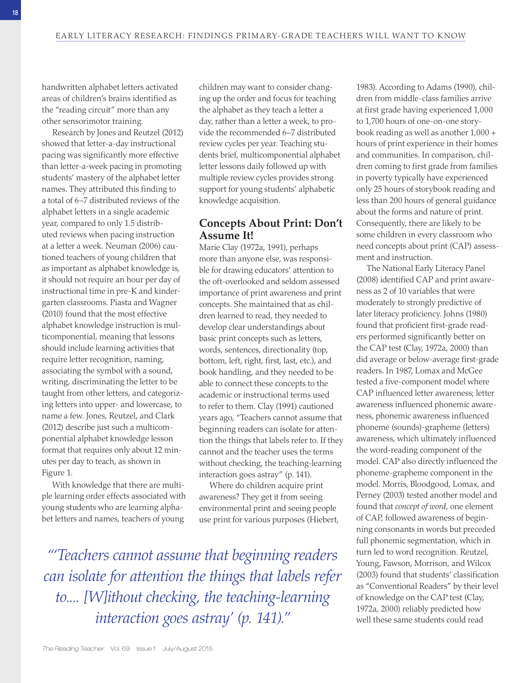handwritten alphabet letters activated areas of children's brains identified as the "reading circuit" more than any other sensorimotor training.

Research by Jones and Reutzel (2012) showed that letter-a-day instructional pacing was significantly more effective than letter-a-week pacing in promoting students' mastery of the alphabet letter names. They attributed this finding to a total of 6–7 distributed reviews of the alphabet letters in a single academic year, compared to only 1.5 distributed reviews when pacing instruction at a letter a week. Neuman (2006) cautioned teachers of young children that as important as alphabet knowledge is, it should not require an hour per day of instructional time in pre-K and kindergarten classrooms. Piasta and Wagner (2010) found that the most effective alphabet knowledge instruction is multicomponential, meaning that lessons should include learning activities that require letter recognition, naming, associating the symbol with a sound, writing, discriminating the letter to be taught from other letters, and categorizing letters into upper- and lowercase, to name a few. Jones, Reutzel, and Clark (2012) describe just such a multicomponential alphabet knowledge lesson format that requires only about 12 minutes per day to teach, as shown in Figure 1.

 With knowledge that there are multiple learning order effects associated with young students who are learning alphabet letters and names, teachers of young

children may want to consider changing up the order and focus for teaching the alphabet as they teach a letter a day, rather than a letter a week, to provide the recommended 6–7 distributed review cycles per year. Teaching students brief, multicomponential alphabet letter lessons daily followed up with multiple review cycles provides strong support for young students' alphabetic knowledge acquisition.

# **Concepts About Print: Don't Assume It!**

Marie Clay (1972a, 1991), perhaps more than anyone else, was responsible for drawing educators' attention to the oft- overlooked and seldom assessed importance of print awareness and print concepts. She maintained that as children learned to read, they needed to develop clear understandings about basic print concepts such as letters, words, sentences, directionality (top, bottom, left, right, first, last, etc.), and book handling, and they needed to be able to connect these concepts to the academic or instructional terms used to refer to them. Clay (1991) cautioned years ago, "Teachers cannot assume that beginning readers can isolate for attention the things that labels refer to. If they cannot and the teacher uses the terms without checking, the teaching-learning interaction goes astray" (p. 141).

 Where do children acquire print awareness? They get it from seeing environmental print and seeing people use print for various purposes (Hiebert,

 *"'Teachers cannot assume that beginning readers can isolate for attention the things that labels refer to.... [W]ithout checking, the teaching- learning interaction goes astray' (p. 141)."* 

1983). According to Adams (1990), children from middle- class families arrive at first grade having experienced 1,000 to 1,700 hours of one-on-one storybook reading as well as another 1,000 + hours of print experience in their homes and communities. In comparison, children coming to first grade from families in poverty typically have experienced only 25 hours of storybook reading and less than 200 hours of general guidance about the forms and nature of print. Consequently, there are likely to be some children in every classroom who need concepts about print (CAP) assessment and instruction.

 The National Early Literacy Panel (2008) identified CAP and print awareness as 2 of 10 variables that were moderately to strongly predictive of later literacy proficiency. Johns (1980) found that proficient first-grade readers performed significantly better on the CAP test (Clay, 1972a, 2000) than did average or below-average first-grade readers. In 1987, Lomax and McGee tested a five-component model where CAP influenced letter awareness; letter awareness influenced phonemic awareness, phonemic awareness influenced phoneme (sounds)- grapheme (letters) awareness, which ultimately influenced the word- reading component of the model. CAP also directly influenced the phoneme- grapheme component in the model. Morris, Bloodgood, Lomax, and Perney (2003) tested another model and found that *concept of word*, one element of CAP, followed awareness of beginning consonants in words but preceded full phonemic segmentation, which in turn led to word recognition. Reutzel, Young, Fawson, Morrison, and Wilcox (2003) found that students' classification as "Conventional Readers" by their level of knowledge on the CAP test (Clay, 1972a, 2000) reliably predicted how well these same students could read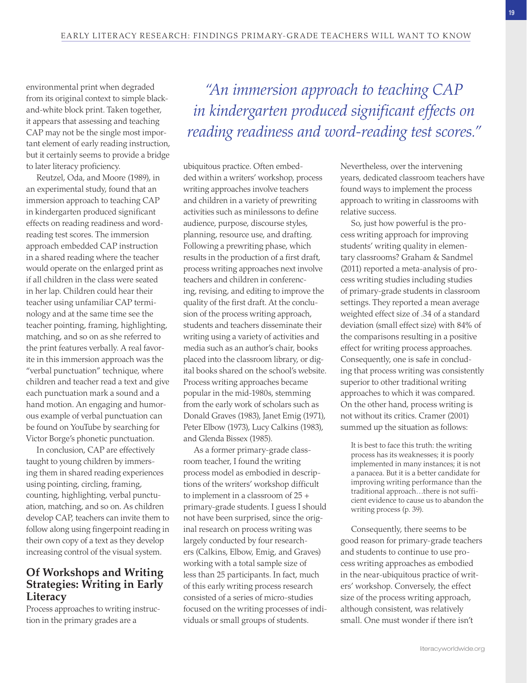environmental print when degraded from its original context to simple blackand- white block print. Taken together, it appears that assessing and teaching CAP may not be the single most important element of early reading instruction, but it certainly seems to provide a bridge to later literacy proficiency.

Reutzel, Oda, and Moore (1989), in an experimental study, found that an immersion approach to teaching CAP in kindergarten produced significant effects on reading readiness and wordreading test scores. The immersion approach embedded CAP instruction in a shared reading where the teacher would operate on the enlarged print as if all children in the class were seated in her lap. Children could hear their teacher using unfamiliar CAP terminology and at the same time see the teacher pointing, framing, highlighting, matching, and so on as she referred to the print features verbally. A real favorite in this immersion approach was the "verbal punctuation" technique, where children and teacher read a text and give each punctuation mark a sound and a hand motion. An engaging and humorous example of verbal punctuation can be found on YouTube by searching for Victor Borge's phonetic punctuation.

 In conclusion, CAP are effectively taught to young children by immersing them in shared reading experiences using pointing, circling, framing, counting, highlighting, verbal punctuation, matching, and so on. As children develop CAP, teachers can invite them to follow along using fingerpoint reading in their own copy of a text as they develop increasing control of the visual system.

# **Of Workshops and Writing Strategies: Writing in Early Literacy**

 Process approaches to writing instruction in the primary grades are a

 *"An immersion approach to teaching CAP in kindergarten produced significant effects on reading readiness and word-reading test scores."* 

ubiquitous practice. Often embedded within a writers' workshop, process writing approaches involve teachers and children in a variety of prewriting activities such as minilessons to define audience, purpose, discourse styles, planning, resource use, and drafting. Following a prewriting phase, which results in the production of a first draft, process writing approaches next involve teachers and children in conferencing, revising, and editing to improve the quality of the first draft. At the conclusion of the process writing approach, students and teachers disseminate their writing using a variety of activities and media such as an author's chair, books placed into the classroom library, or digital books shared on the school's website. Process writing approaches became popular in the mid-1980s, stemming from the early work of scholars such as Donald Graves (1983), Janet Emig (1971), Peter Elbow (1973), Lucy Calkins (1983), and Glenda Bissex (1985).

 As a former primary- grade classroom teacher, I found the writing process model as embodied in descriptions of the writers' workshop difficult to implement in a classroom of 25 + primary-grade students. I guess I should not have been surprised, since the original research on process writing was largely conducted by four researchers (Calkins, Elbow, Emig, and Graves) working with a total sample size of less than 25 participants. In fact, much of this early writing process research consisted of a series of micro- studies focused on the writing processes of individuals or small groups of students.

Nevertheless, over the intervening years, dedicated classroom teachers have found ways to implement the process approach to writing in classrooms with relative success.

 So, just how powerful is the process writing approach for improving students' writing quality in elementary classrooms? Graham & Sandmel (2011) reported a meta-analysis of process writing studies including studies of primary- grade students in classroom settings. They reported a mean average weighted effect size of .34 of a standard deviation (small effect size) with 84% of the comparisons resulting in a positive effect for writing process approaches. Consequently, one is safe in concluding that process writing was consistently superior to other traditional writing approaches to which it was compared. On the other hand, process writing is not without its critics. Cramer (2001) summed up the situation as follows:

 It is best to face this truth: the writing process has its weaknesses; it is poorly implemented in many instances; it is not a panacea. But it is a better candidate for improving writing performance than the traditional approach…there is not sufficient evidence to cause us to abandon the writing process (p. 39).

 Consequently, there seems to be good reason for primary- grade teachers and students to continue to use process writing approaches as embodied in the near-ubiquitous practice of writers' workshop. Conversely, the effect size of the process writing approach, although consistent, was relatively small. One must wonder if there isn't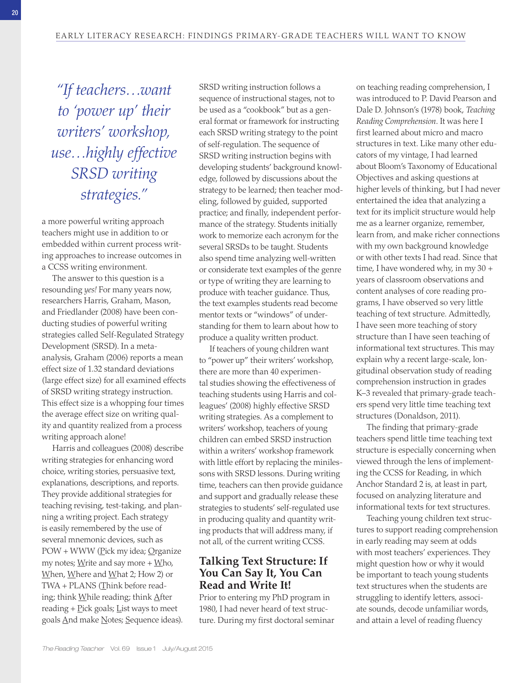*"If teachers…want to 'power up' their writers' workshop, use…highly effective SRSD writing strategies."* 

a more powerful writing approach teachers might use in addition to or embedded within current process writing approaches to increase outcomes in a CCSS writing environment.

 The answer to this question is a resounding *yes!* For many years now, researchers Harris, Graham, Mason, and Friedlander (2008) have been conducting studies of powerful writing strategies called Self- Regulated Strategy Development (SRSD). In a metaanalysis, Graham (2006) reports a mean effect size of 1.32 standard deviations (large effect size) for all examined effects of SRSD writing strategy instruction. This effect size is a whopping four times the average effect size on writing quality and quantity realized from a process writing approach alone!

Harris and colleagues (2008) describe writing strategies for enhancing word choice, writing stories, persuasive text, explanations, descriptions, and reports. They provide additional strategies for teaching revising, test-taking, and planning a writing project. Each strategy is easily remembered by the use of several mnemonic devices, such as POW + WWW (Pick my idea; Organize my notes; Write and say more  $+$  Who, When, Where and What 2; How 2) or TWA + PLANS (Think before reading; think  $M$ hile reading; think  $A$ fter reading  $+$  Pick goals; List ways to meet goals And make Notes; Sequence ideas).

SRSD writing instruction follows a sequence of instructional stages, not to be used as a "cookbook" but as a general format or framework for instructing each SRSD writing strategy to the point of self- regulation. The sequence of SRSD writing instruction begins with developing students' background knowledge, followed by discussions about the strategy to be learned; then teacher modeling, followed by guided, supported practice; and finally, independent performance of the strategy. Students initially work to memorize each acronym for the several SRSDs to be taught. Students also spend time analyzing well-written or considerate text examples of the genre or type of writing they are learning to produce with teacher guidance. Thus, the text examples students read become mentor texts or "windows" of understanding for them to learn about how to produce a quality written product.

 If teachers of young children want to "power up" their writers' workshop, there are more than 40 experimental studies showing the effectiveness of teaching students using Harris and colleagues' (2008) highly effective SRSD writing strategies. As a complement to writers' workshop, teachers of young children can embed SRSD instruction within a writers' workshop framework with little effort by replacing the minilessons with SRSD lessons. During writing time, teachers can then provide guidance and support and gradually release these strategies to students' self-regulated use in producing quality and quantity writing products that will address many, if not all, of the current writing CCSS.

# **Talking Text Structure: If You Can Say It, You Can Read and Write It!**

 Prior to entering my PhD program in 1980, I had never heard of text structure. During my first doctoral seminar on teaching reading comprehension, I was introduced to P. David Pearson and Dale D. Johnson's (1978) book, *Teaching Reading Comprehension*. It was here I first learned about micro and macro structures in text. Like many other educators of my vintage, I had learned about Bloom's Taxonomy of Educational Objectives and asking questions at higher levels of thinking, but I had never entertained the idea that analyzing a text for its implicit structure would help me as a learner organize, remember, learn from, and make richer connections with my own background knowledge or with other texts I had read. Since that time, I have wondered why, in my 30 + years of classroom observations and content analyses of core reading programs, I have observed so very little teaching of text structure. Admittedly, I have seen more teaching of story structure than I have seen teaching of informational text structures. This may explain why a recent large-scale, longitudinal observation study of reading comprehension instruction in grades K-3 revealed that primary-grade teachers spend very little time teaching text structures (Donaldson, 2011).

The finding that primary-grade teachers spend little time teaching text structure is especially concerning when viewed through the lens of implementing the CCSS for Reading, in which Anchor Standard 2 is, at least in part, focused on analyzing literature and informational texts for text structures.

 Teaching young children text structures to support reading comprehension in early reading may seem at odds with most teachers' experiences. They might question how or why it would be important to teach young students text structures when the students are struggling to identify letters, associate sounds, decode unfamiliar words, and attain a level of reading fluency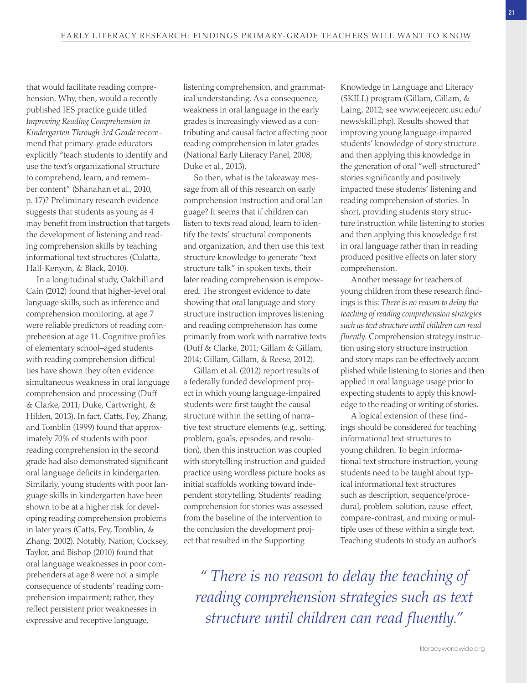that would facilitate reading comprehension. Why, then, would a recently published IES practice guide titled *Improving Reading Comprehension in Kindergarten Through 3rd Grade* recommend that primary-grade educators explicitly "teach students to identify and use the text's organizational structure to comprehend, learn, and remember content" (Shanahan et al., 2010, p. 17)? Preliminary research evidence suggests that students as young as 4 may benefit from instruction that targets the development of listening and reading comprehension skills by teaching informational text structures (Culatta, Hall-Kenyon, & Black, 2010).

 In a longitudinal study, Oakhill and Cain (2012) found that higher-level oral language skills, such as inference and comprehension monitoring, at age 7 were reliable predictors of reading comprehension at age 11. Cognitive profiles of elementary school–aged students with reading comprehension difficulties have shown they often evidence simultaneous weakness in oral language comprehension and processing (Duff & Clarke, 2011; Duke, Cartwright, & Hilden, 2013). In fact, Catts, Fey, Zhang, and Tomblin (1999) found that approximately 70% of students with poor reading comprehension in the second grade had also demonstrated significant oral language deficits in kindergarten. Similarly, young students with poor language skills in kindergarten have been shown to be at a higher risk for developing reading comprehension problems in later years (Catts, Fey, Tomblin, & Zhang, 2002). Notably, Nation, Cocksey, Taylor, and Bishop (2010) found that oral language weaknesses in poor comprehenders at age 8 were not a simple consequence of students' reading comprehension impairment; rather, they reflect persistent prior weaknesses in expressive and receptive language,

listening comprehension, and grammatical understanding. As a consequence, weakness in oral language in the early grades is increasingly viewed as a contributing and causal factor affecting poor reading comprehension in later grades (National Early Literacy Panel, 2008; Duke et al., 2013).

 So then, what is the takeaway message from all of this research on early comprehension instruction and oral language? It seems that if children can listen to texts read aloud, learn to identify the texts' structural components and organization, and then use this text structure knowledge to generate "text structure talk" in spoken texts, their later reading comprehension is empowered. The strongest evidence to date showing that oral language and story structure instruction improves listening and reading comprehension has come primarily from work with narrative texts (Duff & Clarke, 2011; Gillam & Gillam, 2014; Gillam, Gillam, & Reese, 2012).

Gillam et al. (2012) report results of a federally funded development project in which young language-impaired students were first taught the causal structure within the setting of narrative text structure elements (e.g., setting, problem, goals, episodes, and resolution), then this instruction was coupled with storytelling instruction and guided practice using wordless picture books as initial scaffolds working toward independent storytelling. Students' reading comprehension for stories was assessed from the baseline of the intervention to the conclusion the development project that resulted in the Supporting

Knowledge in Language and Literacy (SKILL) program (Gillam, Gillam, & Laing, 2012; see www.eejecerc.usu.edu/ news/skill.php). Results showed that improving young language-impaired students' knowledge of story structure and then applying this knowledge in the generation of oral "well- structured" stories significantly and positively impacted these students' listening and reading comprehension of stories. In short, providing students story structure instruction while listening to stories and then applying this knowledge first in oral language rather than in reading produced positive effects on later story comprehension.

 Another message for teachers of young children from these research findings is this: *There is no reason to delay the teaching of reading comprehension strategies such as text structure until children can read fluently.* Comprehension strategy instruction using story structure instruction and story maps can be effectively accomplished while listening to stories and then applied in oral language usage prior to expecting students to apply this knowledge to the reading or writing of stories.

 A logical extension of these findings should be considered for teaching informational text structures to young children. To begin informational text structure instruction, young students need to be taught about typical informational text structures such as description, sequence/procedural, problem-solution, cause-effect, compare- contrast, and mixing or multiple uses of these within a single text. Teaching students to study an author's

 *" There is no reason to delay the teaching of reading comprehension strategies such as text structure until children can read fluently."*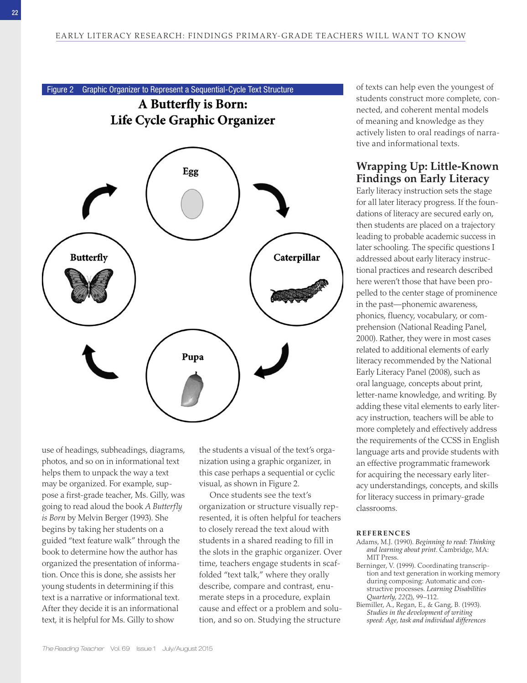Figure 2 Graphic Organizer to Represent a Sequential-Cycle Text Structure A Butterfly is Born: Life Cycle Graphic Organizer Egg **Butterfly** Caterpillar Pupa

use of headings, subheadings, diagrams, photos, and so on in informational text helps them to unpack the way a text may be organized. For example, suppose a first-grade teacher, Ms. Gilly, was going to read aloud the book *A Butterfly is Born* by Melvin Berger (1993). She begins by taking her students on a guided "text feature walk" through the book to determine how the author has organized the presentation of information. Once this is done, she assists her young students in determining if this text is a narrative or informational text. After they decide it is an informational text, it is helpful for Ms. Gilly to show

the students a visual of the text's organization using a graphic organizer, in this case perhaps a sequential or cyclic visual, as shown in Figure 2.

Once students see the text's organization or structure visually represented, it is often helpful for teachers to closely reread the text aloud with students in a shared reading to fill in the slots in the graphic organizer. Over time, teachers engage students in scaffolded "text talk," where they orally describe, compare and contrast, enumerate steps in a procedure, explain cause and effect or a problem and solution, and so on. Studying the structure

of texts can help even the youngest of students construct more complete, connected, and coherent mental models of meaning and knowledge as they actively listen to oral readings of narrative and informational texts.

# **Wrapping Up: Little- Known Findings on Early Literacy**

 Early literacy instruction sets the stage for all later literacy progress. If the foundations of literacy are secured early on, then students are placed on a trajectory leading to probable academic success in later schooling. The specific questions I addressed about early literacy instructional practices and research described here weren't those that have been propelled to the center stage of prominence in the past—phonemic awareness, phonics, fluency, vocabulary, or comprehension (National Reading Panel, 2000). Rather, they were in most cases related to additional elements of early literacy recommended by the National Early Literacy Panel (2008), such as oral language, concepts about print, letter-name knowledge, and writing. By adding these vital elements to early literacy instruction, teachers will be able to more completely and effectively address the requirements of the CCSS in English language arts and provide students with an effective programmatic framework for acquiring the necessary early literacy understandings, concepts, and skills for literacy success in primary- grade classrooms.

### **RE F ERENC ES**

- Adams, M.J. (1990). *Beginning to read: Thinking and learning about print* . Cambridge, MA : MIT Press.
- Berninger, V. (1999). Coordinating transcription and text generation in working memory during composing: Automatic and constructive processes . *Learning Disabilities Quarterly*, 22(2), 99-112.
- Biemiller, A., Regan, E., & Gang, B. (1993). *Studies in the development of writing speed: Age, task and individual differences*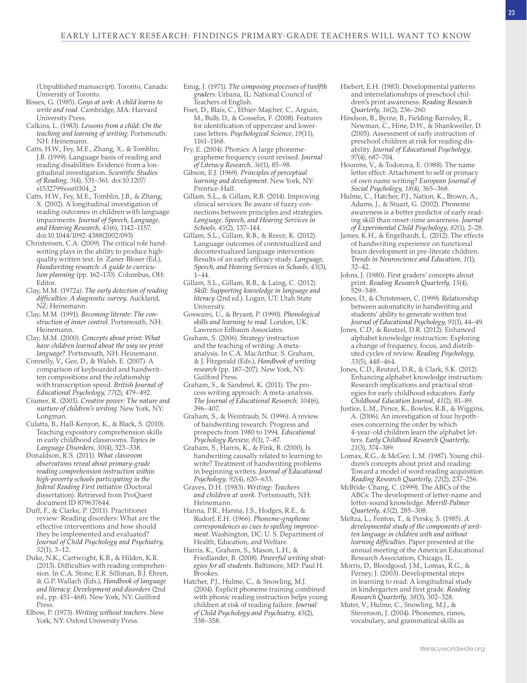(Unpublished manuscript). Toronto, Canada : University of Toronto.

- Bissex, G. (1985). *Gnys at wrk: A child learns to* write and read. Cambridge, MA: Harvard University Press.
- Calkins, L. (1983). *Lessons from a child: On the teaching and learning of writing* . Portsmouth: NH: Heinemann.
- Catts, H.W., Fey, M.E., Zhang, X., & Tomblin, J.B. (1999). Language basis of reading and reading disabilities: Evidence from a longitudinal investigation . *Scientific Studies of Reading* , *3* ( 4 ), 331 – 361 . doi: 10.1207/ s1532799xssr0304\_2
- Catts, H.W., Fey, M.E., Tomblin, J.B., & Zhang, X. (2002). A longitudinal investigation of reading outcomes in children with language impairments . *Journal of Speech, Language, and Hearing Research* , *45* ( 6 ), 1142 – 1157 . doi: 10.1044/1092- 4388(2002/093)
- Christensen, C.A. (2009). The critical role handwriting plays in the ability to produce highquality written text. In Zaner-Bloser (Ed.), *Handwriting research: A guide to curricu*lum planning (pp. 162-170). Columbus, OH: Editor .
- Clay, M.M. (1972a). The early detection of reading *difficulties: A diagnostic survey* . Auckland, NZ: Heinemann.
- Clay, M.M. (1991). Becoming literate: The con*struction of inner control* . Portsmouth, NH : Heinemann .
- Clay, M.M. (2000). Concepts about print: What *have children learned about the way we print*  language?. Portsmouth, NH: Heinemann.
- Connelly, V., Gee, D., & Walsh, E. (2007). A comparison of keyboarded and handwritten compositions and the relationship with transcription speed . *British Journal of Educational Psychology* , *77* ( 2 ), 479 – 492 .
- Cramer, R. (2001). *Creative power: The nature and nurture of children's writing*. New York, NY: Longman.
- Culatta, B., Hall-Kenyon, K., & Black, S. (2010). Teaching expository comprehension skills in early childhood classrooms . *Topics in*  Language Disorders, 30(4), 323-338.
- Donaldson , R.S . ( 2011 ). *What classroom observations reveal about primary-grade reading comprehension instruction within high-poverty schools participating in the federal Reading First initiative* (Doctoral dissertation). Retrieved from ProQuest document ID 879637644.
- Duff, F., & Clarke, P. (2011). Practitioner review: Reading disorders: What are the effective interventions and how should they be implemented and evaluated? *Journal of Child Psychology and Psychiatry* ,  $52(1)$ , 3-12.
- Duke, N.K., Cartwright, K.B., & Hilden, K.R. (2013). Difficulties with reading comprehension. In C.A. Stone, E.R. Silliman, B.J. Ehren, & G.P. Wallach (Eds.), *Handbook of language and literacy: Development and disorders* ( 2nd ed., pp. 451-468). New York, NY: Guilford Press .
- Elbow, P. (1973). *Writing without teachers*. New York, NY: Oxford University Press.
- Emig, J. (1971). The composing processes of twelfth graders. Urbana, IL: National Council of Teachers of English.
- Fiset, D., Blais, C., Ethier-Majcher, C., Arguin, M., Bulb, D., & Gosselin, F. (2008). Features for identification of uppercase and lowercase letters. Psychological Science, 19(11), 1161-1168.
- Fry, E. (2004). Phonics: A large phonemegrapheme frequency count revised . *Journal*  of Literacy Research, 36(1), 85-98.
- Gibson, E.J. (1969). Principles of perceptual *learning and development*. New York, NY: Prentice-Hall.
- Gillam, S.L., & Gillam, R.B. (2014). Improving clinical services: Be aware of fuzzy connections between principles and strategies . *Language, Speech, and Hearing Services in Schools*, 45(2), 137-144.
- Gillam, S.L., Gillam, R.B., & Reece, K. (2012). Language outcomes of contextualized and decontextualized language intervention: Results of an early efficacy study . *Language, Speech, and Hearing Services in Schools, 43(3),*  $1 - 44.$
- Gillam, S.L., Gillam, R.B., & Laing, C. (2012). *Skill: Supporting knowledge in language and literacy* (2nd ed.). Logan, UT: Utah State University.
- Goswami, U., & Bryant, P. (1990). *Phonological skills and learning to read* . London, UK : Lawrence Erlbaum Associates .
- Graham, S. (2006). Strategy instruction and the teaching of writing: A metaanalysis. In C.A. MacArthur, S. Graham, & J. Fitzgerald (Eds.), *Handbook of writing research* (pp. 187–207). New York, NY: Guilford Press .
- Graham, S., & Sandmel, K. (2011). The process writing approach: A meta-analysis. *The Journal of Educational Research, 104(6),* 396 – 407.
- Graham, S., & Weintraub, N. (1996). A review of handwriting research: Progress and prospects from 1980 to 1994 . *Educational Psychology Review* , *8* ( 1 ), 7 – 87 .
- Graham, S., Harris, K., & Fink, B. (2000). Is handwriting causally related to learning to write? Treatment of handwriting problems in beginning writers . *Journal of Educational Psychology* , *92* ( 4 ), 620 – 633 .
- Graves, D.H. (1983). Writing: Teachers and children at work. Portsmouth, NH: Heinemann .
- Hanna, P.R., Hanna, J.S., Hodges, R.E., & Rudorf, E.H. (1966). *Phoneme-grapheme correspondences as cues to spelling improvement.* Washington, DC: U. S. Department of Health, Education, and Welfare.
- Harris, K., Graham, S., Mason, L.H., & Friedlander, B. (2008). Powerful writing strat*egies for all students* . Baltimore, MD : Paul H. Brookes .
- Hatcher, P.J., Hulme, C., & Snowling, M.J. (2004). Explicit phoneme training combined with phonic reading instruction helps young children at risk of reading failure . *Journal of Child Psychology and Psychiatry* , *45* ( 2 ), 338 – 358 .
- Hiebert, E.H. (1983). Developmental patterns and interrelationships of preschool children's print awareness. *Reading Research Quarterly, 16(2), 236-260.*
- Hindson, B., Byrne, B., Fielding-Barnsley, R., Newman, C., Hine, D.W., & Shankweiler, D. (2005). Assessment of early instruction of preschool children at risk for reading disability . *Journal of Educational Psychology* ,  $97(4)$ , 687-704.
- Hoorens, V., & Todorova, E. (1988). The name letter effect: Attachment to self or primacy of own name writing? *European Journal of Social Psychology* , *18* ( 4 ), 365 – 368 .
- Hulme, C., Hatcher, P.J., Nation, K., Brown, A., Adams, J., & Stuart, G. (2002). Phoneme awareness is a better predictor of early reading skill than onset- rime awareness . *Journal of Experimental Child Psychology* , *82* ( 1 ), 2 – 28 .
- James, K.H., & Engelhardt, L. (2012). The effects of handwriting experience on functional brain development in pre-literate children. *Trends in Neuroscience and Education, 1(1),*  $32 - 42$
- Johns, J. (1980). First graders' concepts about print. *Reading Research Quarterly*, 15(4), 529-549.
- Jones, D., & Christensen, C. (1999). Relationship between automaticity in handwriting and students' ability to generate written text. Journal of Educational Psychology, 91(1), 44-49.
- Jones, C.D., & Reutzel, D.R. (2012). Enhanced alphabet knowledge instruction: Exploring a change of frequency, focus, and distributed cycles of review . *Reading Psychology* , 33(5), 448-464.
- Jones, C.D., Reutzel, D.R., & Clark, S.K. (2012). Enhancing alphabet knowledge instruction: Research implications and practical strategies for early childhood educators . *Early*  Childhood Education Journal, 41(2), 81-89.
- Justice, L.M., Pence, K., Bowles, R.B., & Wiggins, A. (2006). An investigation of four hypotheses concerning the order by which 4- year- old children learn the alphabet letters . *Early Childhood Research Quarterly* , *21* ( 3 ), 374 – 389 .
- Lomax, R.G., & McGee, L.M. (1987). Young children's concepts about print and reading: Toward a model of word reading acquisition. *Reading Research Quarterly, 22(2), 237-256.*
- McBride-Chang, C. (1999). The ABCs of the ABCs: The development of letter-name and letter- sound knowledge . *Merrill- Palmer Quarterly*, 45(2), 285-308.
- Meltza, L., Fenton, T., & Persky, S. (1985). A *developmental study of the components of written language in children with and without learning difficulties* . Paper presented at the annual meeting of the American Educational Research Association, Chicago, IL.
- Morris, D., Bloodgood, J.M., Lomax, R.G., & Perney, J. (2003). Developmental steps in learning to read: A longitudinal study in kindergarten and first grade . *Reading Research Quarterly* , *38* ( 3 ), 302 – 328 .
- Muter, V., Hulme, C., Snowling, M.J., & Stevenson, J. (2004). Phonemes, rimes, vocabulary, and grammatical skills as